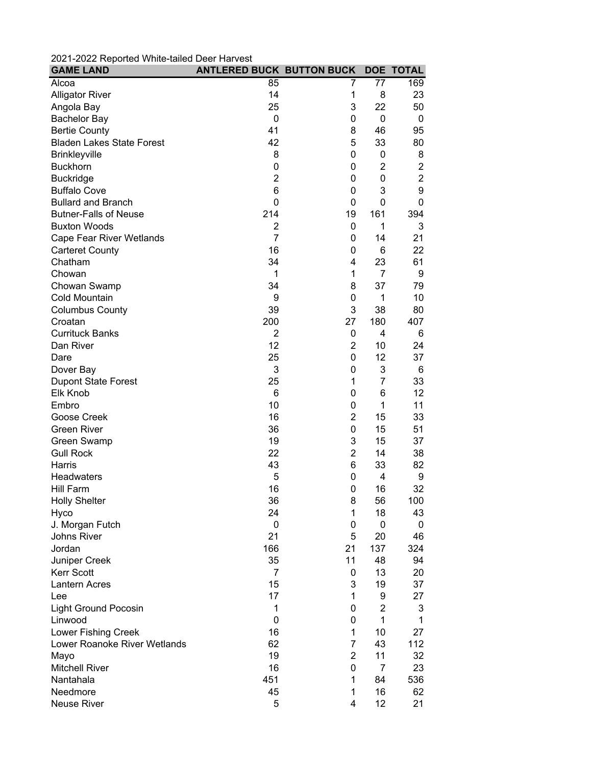| 2021-2022 Reported Writte-tailed Deel Harvest<br><b>GAME LAND</b> | <b>ANTLERED BUCK BUTTON BUCK</b> |                |                 | <b>DOE TOTAL</b> |
|-------------------------------------------------------------------|----------------------------------|----------------|-----------------|------------------|
|                                                                   |                                  |                |                 |                  |
| Alcoa                                                             | 85                               | 7              | $\overline{77}$ | 169              |
| <b>Alligator River</b>                                            | 14                               | 1              | 8               | 23               |
| Angola Bay                                                        | 25                               | 3              | 22              | 50               |
| <b>Bachelor Bay</b>                                               | $\mathbf 0$                      | 0              | 0               | 0                |
| <b>Bertie County</b>                                              | 41                               | 8              | 46              | 95               |
| <b>Bladen Lakes State Forest</b>                                  | 42                               | 5              | 33              | 80               |
| <b>Brinkleyville</b>                                              | 8                                | 0              | 0               | 8                |
| <b>Buckhorn</b>                                                   | 0                                | 0              | $\overline{2}$  | $\overline{2}$   |
| <b>Buckridge</b>                                                  | $\overline{2}$                   | 0              | 0               | $\overline{2}$   |
| <b>Buffalo Cove</b>                                               | 6                                | 0              | 3               | 9                |
| <b>Bullard and Branch</b>                                         | 0                                | 0              | 0               | 0                |
| <b>Butner-Falls of Neuse</b>                                      | 214                              | 19             | 161             | 394              |
| <b>Buxton Woods</b>                                               | $\overline{2}$                   | 0              | 1               | 3                |
| <b>Cape Fear River Wetlands</b>                                   | $\overline{7}$                   | 0              | 14              | 21               |
| <b>Carteret County</b>                                            | 16                               | 0              | 6               | 22               |
| Chatham                                                           | 34                               | 4              | 23              | 61               |
| Chowan                                                            | 1                                | 1              | 7               | 9                |
| Chowan Swamp                                                      | 34                               | 8              | 37              | 79               |
| Cold Mountain                                                     | 9                                | 0              | 1               | 10               |
| <b>Columbus County</b>                                            | 39                               | 3              | 38              | 80               |
| Croatan                                                           | 200                              | 27             | 180             | 407              |
| <b>Currituck Banks</b>                                            | 2                                | 0              | 4               | 6                |
| Dan River                                                         | 12                               | $\overline{2}$ | 10              | 24               |
| Dare                                                              | 25                               | 0              | 12              | 37               |
| Dover Bay                                                         | 3                                | 0              | 3               | 6                |
| <b>Dupont State Forest</b>                                        | 25                               | 1              | $\overline{7}$  | 33               |
| Elk Knob                                                          | 6                                | 0              | 6               | 12               |
| Embro                                                             | 10                               | 0              | 1               | 11               |
| Goose Creek                                                       | 16                               | $\overline{2}$ | 15              | 33               |
| <b>Green River</b>                                                | 36                               | 0              | 15              | 51               |
| Green Swamp                                                       | 19                               | 3              | 15              | 37               |
| <b>Gull Rock</b>                                                  | 22                               | $\overline{2}$ | 14              | 38               |
| Harris                                                            | 43                               | 6              | 33              | 82               |
| <b>Headwaters</b>                                                 | 5                                | $\pmb{0}$      | 4               | 9                |
| Hill Farm                                                         | 16                               | 0              | 16              | 32               |
| <b>Holly Shelter</b>                                              | 36                               | 8              | 56              | 100              |
|                                                                   | 24                               | 1              | 18              | 43               |
| Hyco                                                              |                                  |                |                 |                  |
| J. Morgan Futch                                                   | 0                                | 0              | 0               | 0                |
| <b>Johns River</b>                                                | 21                               | 5              | 20              | 46               |
| Jordan                                                            | 166                              | 21             | 137             | 324              |
| Juniper Creek                                                     | 35                               | 11             | 48              | 94               |
| Kerr Scott                                                        | 7                                | 0              | 13              | 20               |
| <b>Lantern Acres</b>                                              | 15                               | 3              | 19              | 37               |
| Lee                                                               | 17                               | 1              | 9               | 27               |
| <b>Light Ground Pocosin</b>                                       | 1                                | 0              | $\overline{2}$  | 3                |
| Linwood                                                           | 0                                | 0              | 1               | 1                |
| Lower Fishing Creek                                               | 16                               | $\mathbf 1$    | 10              | 27               |
| Lower Roanoke River Wetlands                                      | 62                               | $\overline{7}$ | 43              | 112              |
| Mayo                                                              | 19                               | $\overline{2}$ | 11              | 32               |
| <b>Mitchell River</b>                                             | 16                               | 0              | 7               | 23               |
| Nantahala                                                         | 451                              | $\mathbf 1$    | 84              | 536              |
| Needmore                                                          | 45                               | 1              | 16              | 62               |
| Neuse River                                                       | 5                                | 4              | 12              | 21               |

2021-2022 Reported White-tailed Deer Harvest